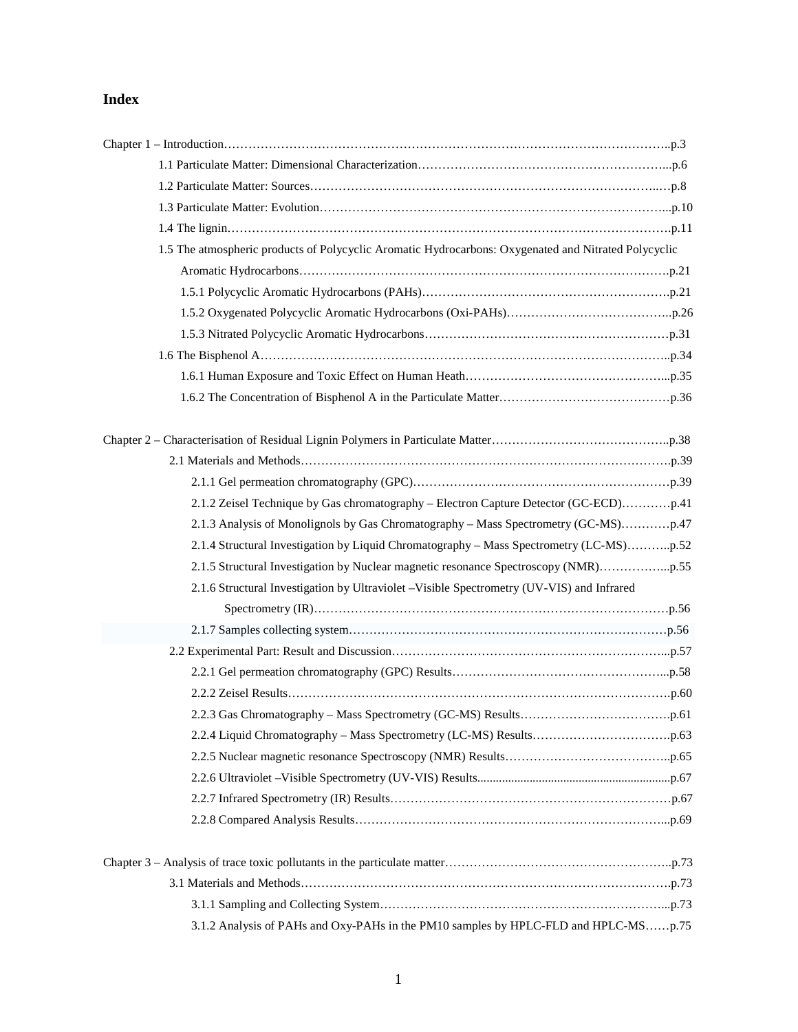## **Index**

| 1.5 The atmospheric products of Polycyclic Aromatic Hydrocarbons: Oxygenated and Nitrated Polycyclic |  |
|------------------------------------------------------------------------------------------------------|--|
|                                                                                                      |  |
|                                                                                                      |  |
|                                                                                                      |  |
|                                                                                                      |  |
|                                                                                                      |  |
|                                                                                                      |  |
|                                                                                                      |  |
|                                                                                                      |  |
|                                                                                                      |  |
|                                                                                                      |  |
|                                                                                                      |  |
|                                                                                                      |  |
| 2.1.4 Structural Investigation by Liquid Chromatography - Mass Spectrometry (LC-MS)p.52              |  |
|                                                                                                      |  |
| 2.1.6 Structural Investigation by Ultraviolet -Visible Spectrometry (UV-VIS) and Infrared            |  |
|                                                                                                      |  |
|                                                                                                      |  |
|                                                                                                      |  |
|                                                                                                      |  |
|                                                                                                      |  |
|                                                                                                      |  |
|                                                                                                      |  |
|                                                                                                      |  |
|                                                                                                      |  |
|                                                                                                      |  |
|                                                                                                      |  |
|                                                                                                      |  |
|                                                                                                      |  |
|                                                                                                      |  |

3.1.2 Analysis of PAHs and Oxy-PAHs in the PM10 samples by HPLC-FLD and HPLC-MS……p.75